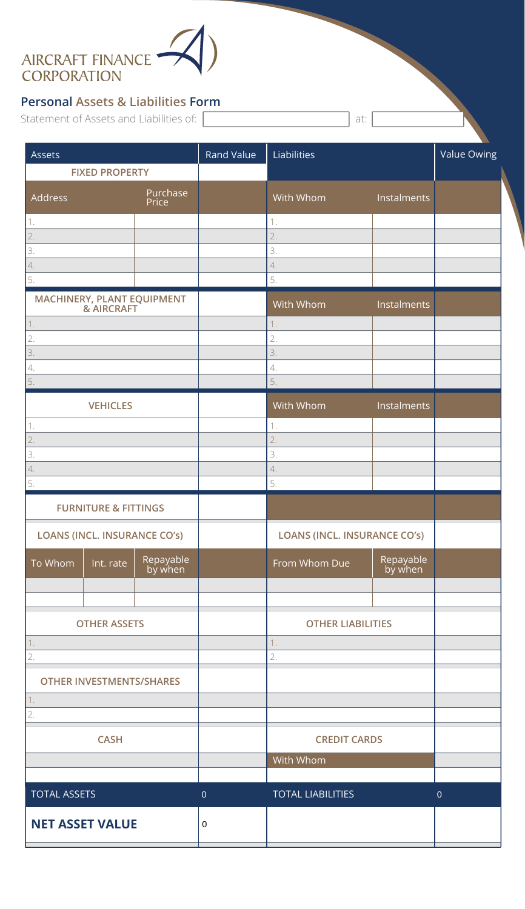## AIRCRAFT FINANCE<br>CORPORATION

## **Personal Assets & Liabilities Form**

Statement of Assets and Liabilities of: [

| Assets                                   |                      | Rand Value  | Liabilities                  |                      | - 1<br>Value Owing |
|------------------------------------------|----------------------|-------------|------------------------------|----------------------|--------------------|
| <b>FIXED PROPERTY</b>                    |                      |             |                              |                      |                    |
| Address                                  | Purchase<br>Price    |             | With Whom                    | Instalments          |                    |
| 1.                                       |                      |             | 1.                           |                      |                    |
| 2.                                       |                      |             | 2.                           |                      |                    |
| 3.<br>4.                                 |                      |             | 3.<br>4.                     |                      |                    |
| 5.                                       |                      |             | 5.                           |                      |                    |
| MACHINERY, PLANT EQUIPMENT<br>& AIRCRAFT |                      |             | With Whom                    | Instalments          |                    |
| 1.                                       |                      |             | 1.                           |                      |                    |
| 2.                                       |                      |             | 2.                           |                      |                    |
| 3.<br>$\overline{4}$ .                   |                      |             | 3.<br>4.                     |                      |                    |
| 5.                                       |                      |             | 5.                           |                      |                    |
| <b>VEHICLES</b>                          |                      |             | With Whom                    | Instalments          |                    |
| 1.                                       |                      |             | 1.                           |                      |                    |
| 2.                                       |                      |             | 2.                           |                      |                    |
| 3.                                       |                      |             | 3.                           |                      |                    |
| $\overline{4}$ .                         |                      |             | 4.                           |                      |                    |
| 5.                                       |                      |             | 5.                           |                      |                    |
| <b>FURNITURE &amp; FITTINGS</b>          |                      |             |                              |                      |                    |
| <b>LOANS (INCL. INSURANCE CO'S)</b>      |                      |             | LOANS (INCL. INSURANCE CO's) |                      |                    |
| To Whom<br>Int. rate                     | Repayable<br>by when |             | From Whom Due                | Repayable<br>by when |                    |
|                                          |                      |             |                              |                      |                    |
| <b>OTHER ASSETS</b>                      |                      |             | <b>OTHER LIABILITIES</b>     |                      |                    |
| 1.                                       |                      |             | 1.                           |                      |                    |
| 2.                                       |                      |             | 2.                           |                      |                    |
| <b>OTHER INVESTMENTS/SHARES</b>          |                      |             |                              |                      |                    |
| 1.<br>2.                                 |                      |             |                              |                      |                    |
| <b>CASH</b>                              |                      |             | <b>CREDIT CARDS</b>          |                      |                    |
|                                          |                      |             | With Whom                    |                      |                    |
| <b>TOTAL ASSETS</b>                      |                      | $\pmb{0}$   | <b>TOTAL LIABILITIES</b>     |                      | $\mathbf 0$        |
| <b>NET ASSET VALUE</b>                   |                      | $\mathbf 0$ |                              |                      |                    |
|                                          |                      |             |                              |                      |                    |

at: